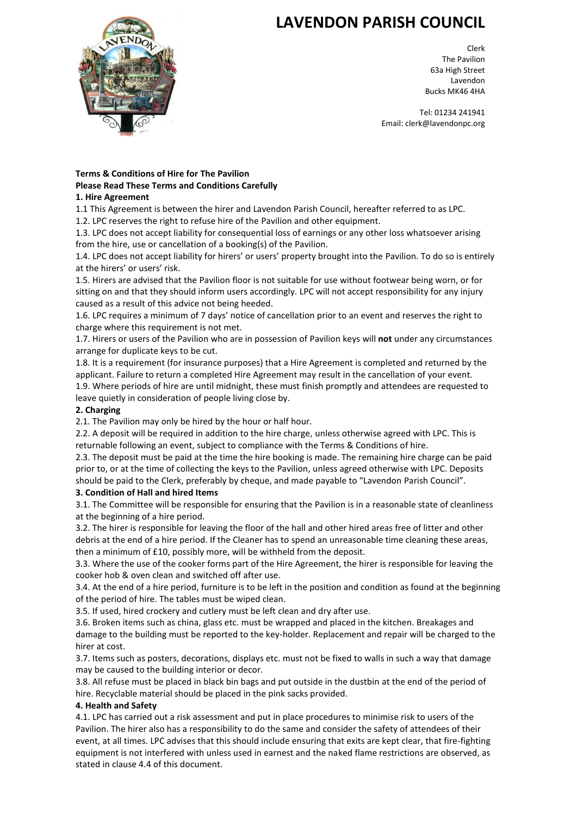# **LAVENDON PARISH COUNCIL**



Clerk The Pavilion 63a High Street Lavendon Bucks MK46 4HA

Tel: 01234 241941 Email: clerk@lavendonpc.org

# **Terms & Conditions of Hire for The Pavilion Please Read These Terms and Conditions Carefully**

#### **1. Hire Agreement**

1.1 This Agreement is between the hirer and Lavendon Parish Council, hereafter referred to as LPC.

1.2. LPC reserves the right to refuse hire of the Pavilion and other equipment.

1.3. LPC does not accept liability for consequential loss of earnings or any other loss whatsoever arising from the hire, use or cancellation of a booking(s) of the Pavilion.

1.4. LPC does not accept liability for hirers' or users' property brought into the Pavilion. To do so is entirely at the hirers' or users' risk.

1.5. Hirers are advised that the Pavilion floor is not suitable for use without footwear being worn, or for sitting on and that they should inform users accordingly. LPC will not accept responsibility for any injury caused as a result of this advice not being heeded.

1.6. LPC requires a minimum of 7 days' notice of cancellation prior to an event and reserves the right to charge where this requirement is not met.

1.7. Hirers or users of the Pavilion who are in possession of Pavilion keys will **not** under any circumstances arrange for duplicate keys to be cut.

1.8. It is a requirement (for insurance purposes) that a Hire Agreement is completed and returned by the applicant. Failure to return a completed Hire Agreement may result in the cancellation of your event.

1.9. Where periods of hire are until midnight, these must finish promptly and attendees are requested to leave quietly in consideration of people living close by.

# **2. Charging**

2.1. The Pavilion may only be hired by the hour or half hour.

2.2. A deposit will be required in addition to the hire charge, unless otherwise agreed with LPC. This is returnable following an event, subject to compliance with the Terms & Conditions of hire.

2.3. The deposit must be paid at the time the hire booking is made. The remaining hire charge can be paid prior to, or at the time of collecting the keys to the Pavilion, unless agreed otherwise with LPC. Deposits should be paid to the Clerk, preferably by cheque, and made payable to "Lavendon Parish Council".

# **3. Condition of Hall and hired Items**

3.1. The Committee will be responsible for ensuring that the Pavilion is in a reasonable state of cleanliness at the beginning of a hire period.

3.2. The hirer is responsible for leaving the floor of the hall and other hired areas free of litter and other debris at the end of a hire period. If the Cleaner has to spend an unreasonable time cleaning these areas, then a minimum of £10, possibly more, will be withheld from the deposit.

3.3. Where the use of the cooker forms part of the Hire Agreement, the hirer is responsible for leaving the cooker hob & oven clean and switched off after use.

3.4. At the end of a hire period, furniture is to be left in the position and condition as found at the beginning of the period of hire. The tables must be wiped clean.

3.5. If used, hired crockery and cutlery must be left clean and dry after use.

3.6. Broken items such as china, glass etc. must be wrapped and placed in the kitchen. Breakages and damage to the building must be reported to the key-holder. Replacement and repair will be charged to the hirer at cost.

3.7. Items such as posters, decorations, displays etc. must not be fixed to walls in such a way that damage may be caused to the building interior or decor.

3.8. All refuse must be placed in black bin bags and put outside in the dustbin at the end of the period of hire. Recyclable material should be placed in the pink sacks provided.

# **4. Health and Safety**

4.1. LPC has carried out a risk assessment and put in place procedures to minimise risk to users of the Pavilion. The hirer also has a responsibility to do the same and consider the safety of attendees of their event, at all times. LPC advises that this should include ensuring that exits are kept clear, that fire-fighting equipment is not interfered with unless used in earnest and the naked flame restrictions are observed, as stated in clause 4.4 of this document.